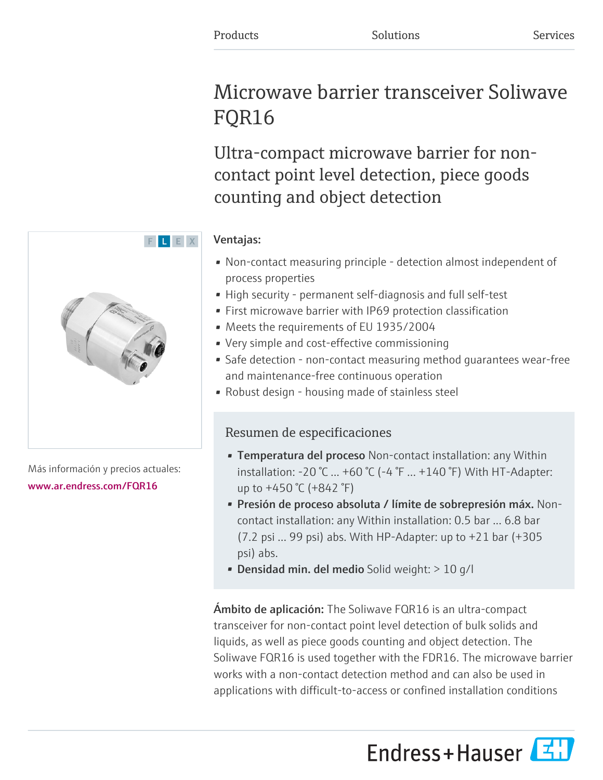# Microwave barrier transceiver Soliwave FQR16

Ultra-compact microwave barrier for noncontact point level detection, piece goods counting and object detection

## Ventajas:

- Non-contact measuring principle detection almost independent of process properties
- High security permanent self-diagnosis and full self-test
- First microwave barrier with IP69 protection classification
- Meets the requirements of EU 1935/2004
- Very simple and cost-effective commissioning
- Safe detection non-contact measuring method guarantees wear-free and maintenance-free continuous operation
- Robust design housing made of stainless steel

# Resumen de especificaciones

- Temperatura del proceso Non-contact installation: any Within installation: -20 °C ... +60 °C (-4 °F ... +140 °F) With HT-Adapter: up to +450 °C (+842 °F)
- Presión de proceso absoluta / límite de sobrepresión máx. Noncontact installation: any Within installation: 0.5 bar ... 6.8 bar (7.2 psi ... 99 psi) abs. With HP-Adapter: up to +21 bar (+305 psi) abs.
- Densidad min. del medio Solid weight:  $> 10$  g/l

Ámbito de aplicación: The Soliwave FQR16 is an ultra-compact transceiver for non-contact point level detection of bulk solids and liquids, as well as piece goods counting and object detection. The Soliwave FQR16 is used together with the FDR16. The microwave barrier works with a non-contact detection method and can also be used in applications with difficult-to-access or confined installation conditions





Más información y precios actuales: [www.ar.endress.com/FQR16](https://www.ar.endress.com/FQR16)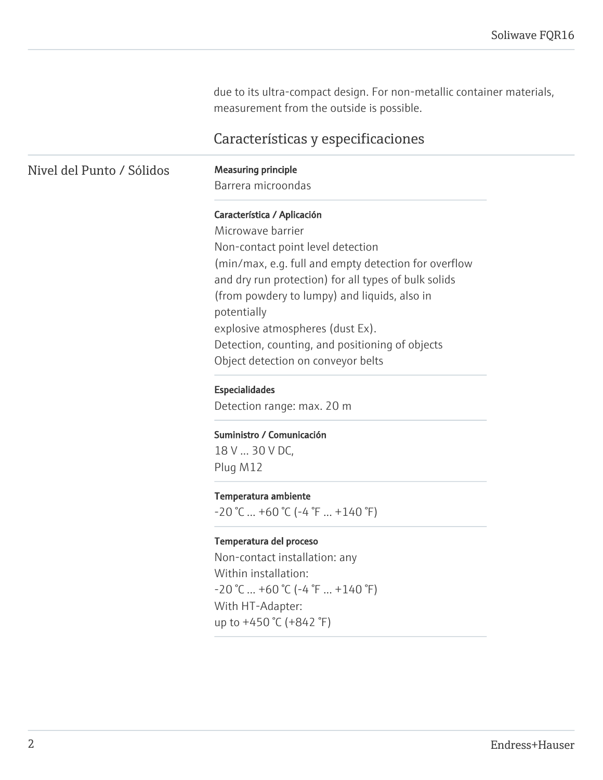due to its ultra-compact design. For non-metallic container materials, measurement from the outside is possible.

## Características y especificaciones

### Nivel del Punto / Sólidos Measuring principle

Barrera microondas

#### Característica / Aplicación

Microwave barrier Non-contact point level detection (min/max, e.g. full and empty detection for overflow and dry run protection) for all types of bulk solids (from powdery to lumpy) and liquids, also in potentially explosive atmospheres (dust Ex). Detection, counting, and positioning of objects Object detection on conveyor belts

#### Especialidades

Detection range: max. 20 m

#### Suministro / Comunicación

18 V ... 30 V DC, Plug M12

#### Temperatura ambiente

 $-20$  °C ... +60 °C (-4 °F ... +140 °F)

#### Temperatura del proceso

Non-contact installation: any Within installation:  $-20$  °C ... +60 °C (-4 °F ... +140 °F) With HT-Adapter: up to +450 °C (+842 °F)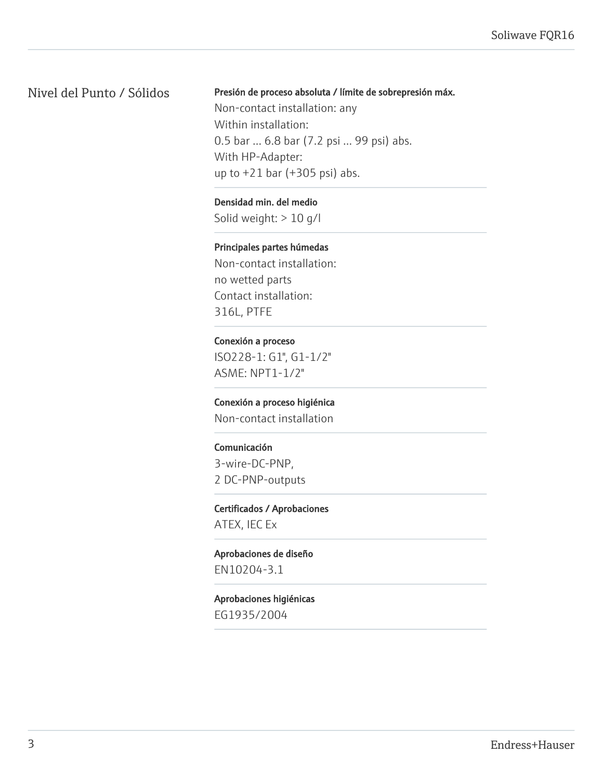## Nivel del Punto / Sólidos

Presión de proceso absoluta / límite de sobrepresión máx.

Non-contact installation: any Within installation: 0.5 bar ... 6.8 bar (7.2 psi ... 99 psi) abs. With HP-Adapter: up to +21 bar (+305 psi) abs.

Densidad min. del medio Solid weight: > 10 g/l

Principales partes húmedas

Non-contact installation: no wetted parts Contact installation: 316L, PTFE

Conexión a proceso ISO228-1: G1", G1-1/2" ASME: NPT1-1/2"

Conexión a proceso higiénica Non-contact installation

Comunicación 3-wire-DC-PNP, 2 DC-PNP-outputs

Certificados / Aprobaciones ATEX, IEC Ex

Aprobaciones de diseño EN10204-3.1

Aprobaciones higiénicas EG1935/2004